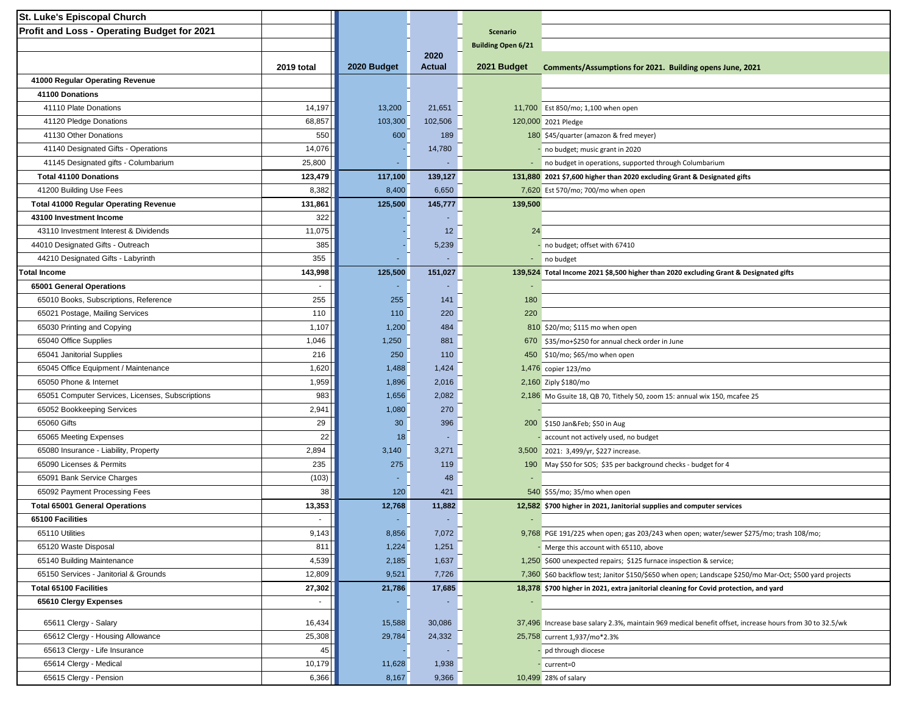| St. Luke's Episcopal Church                                    |            |                 |                |                           |                                                                                                          |
|----------------------------------------------------------------|------------|-----------------|----------------|---------------------------|----------------------------------------------------------------------------------------------------------|
| Profit and Loss - Operating Budget for 2021                    |            |                 |                | <b>Scenario</b>           |                                                                                                          |
|                                                                |            |                 |                | <b>Building Open 6/21</b> |                                                                                                          |
|                                                                | 2019 total | 2020 Budget     | 2020<br>Actual | 2021 Budget               | Comments/Assumptions for 2021. Building opens June, 2021                                                 |
| 41000 Regular Operating Revenue                                |            |                 |                |                           |                                                                                                          |
| 41100 Donations                                                |            |                 |                |                           |                                                                                                          |
| 41110 Plate Donations                                          | 14,197     | 13,200          | 21,651         |                           | 11,700 Est 850/mo; 1,100 when open                                                                       |
| 41120 Pledge Donations                                         | 68,857     | 103,300         | 102,506        |                           | 120,000 2021 Pledge                                                                                      |
| 41130 Other Donations                                          | 550        | 600             | 189            |                           | 180 \$45/quarter (amazon & fred meyer)                                                                   |
| 41140 Designated Gifts - Operations                            | 14,076     |                 | 14,780         |                           | no budget; music grant in 2020                                                                           |
| 41145 Designated gifts - Columbarium                           | 25,800     |                 |                |                           | - no budget in operations, supported through Columbarium                                                 |
| <b>Total 41100 Donations</b>                                   | 123,479    | 117,100         | 139,127        |                           | 131,880 2021 \$7,600 higher than 2020 excluding Grant & Designated gifts                                 |
| 41200 Building Use Fees                                        | 8,382      | 8,400           | 6,650          |                           | 7,620 Est 570/mo; 700/mo when open                                                                       |
| <b>Total 41000 Regular Operating Revenue</b>                   | 131,861    | 125,500         | 145,777        | 139,500                   |                                                                                                          |
| 43100 Investment Income                                        | 322        |                 |                |                           |                                                                                                          |
| 43110 Investment Interest & Dividends                          | 11,075     |                 | 12             | 24                        |                                                                                                          |
| 44010 Designated Gifts - Outreach                              | 385        |                 | 5,239          |                           | - no budget; offset with 67410                                                                           |
| 44210 Designated Gifts - Labyrinth                             | 355        |                 |                |                           |                                                                                                          |
| <b>Total Income</b>                                            | 143,998    | 125,500         | 151,027        |                           | - no budget<br>139,524 Total Income 2021 \$8,500 higher than 2020 excluding Grant & Designated gifts     |
| 65001 General Operations                                       |            |                 |                |                           |                                                                                                          |
| 65010 Books, Subscriptions, Reference                          | 255        | 255             | 141            | 180                       |                                                                                                          |
| 65021 Postage, Mailing Services                                | 110        | 110             | 220            | 220                       |                                                                                                          |
| 65030 Printing and Copying                                     | 1,107      | 1,200           | 484            |                           |                                                                                                          |
| 65040 Office Supplies                                          | 1,046      | 1,250           | 881            |                           | 810 \$20/mo; \$115 mo when open                                                                          |
|                                                                | 216        |                 |                |                           | 670 \$35/mo+\$250 for annual check order in June                                                         |
| 65041 Janitorial Supplies                                      |            | 250             | 110            |                           | 450 \$10/mo; \$65/mo when open                                                                           |
| 65045 Office Equipment / Maintenance<br>65050 Phone & Internet | 1,620      | 1,488           | 1,424          |                           | 1,476 copier 123/mo                                                                                      |
|                                                                | 1,959      | 1,896           | 2,016          |                           | 2,160 Ziply \$180/mo                                                                                     |
| 65051 Computer Services, Licenses, Subscriptions               | 983        | 1,656           | 2,082          |                           | 2,186 Mo Gsuite 18, QB 70, Tithely 50, zoom 15: annual wix 150, mcafee 25                                |
| 65052 Bookkeeping Services                                     | 2,941      | 1,080           | 270            |                           |                                                                                                          |
| 65060 Gifts                                                    | 29         | 30 <sup>°</sup> | 396            |                           | 200 \$150 Jan&Feb \$50 in Aug                                                                            |
| 65065 Meeting Expenses                                         | 22         | 18              |                |                           | account not actively used, no budget                                                                     |
| 65080 Insurance - Liability, Property                          | 2,894      | 3,140           | 3,271          |                           | 3,500 2021: 3,499/yr, \$227 increase.                                                                    |
| 65090 Licenses & Permits                                       | 235        | 275             | 119            |                           | 190 May \$50 for SOS; \$35 per background checks - budget for 4                                          |
| 65091 Bank Service Charges                                     | (103)      |                 | 48             |                           |                                                                                                          |
| 65092 Payment Processing Fees                                  | 38         | 120             | 421            |                           | 540 \$55/mo; 35/mo when open                                                                             |
| <b>Total 65001 General Operations</b>                          | 13,353     | 12,768          | 11,882         |                           | 12,582 \$700 higher in 2021, Janitorial supplies and computer services                                   |
| 65100 Facilities                                               |            |                 |                |                           |                                                                                                          |
| 65110 Utilities                                                | 9,143      | 8,856           | 7,072          |                           | $9,768$ PGE 191/225 when open; gas 203/243 when open; water/sewer \$275/mo; trash 108/mo;                |
| 65120 Waste Disposal                                           | 811        | 1,224           | 1,251          |                           | Merge this account with 65110, above                                                                     |
| 65140 Building Maintenance                                     | 4,539      | 2,185           | 1,637          |                           | 1,250 \$600 unexpected repairs; \$125 furnace inspection & service;                                      |
| 65150 Services - Janitorial & Grounds                          | 12,809     | 9,521           | 7,726          |                           | 7,360 \$60 backflow test; Janitor \$150/\$650 when open; Landscape \$250/mo Mar-Oct; \$500 yard projects |
| <b>Total 65100 Facilities</b>                                  | 27,302     | 21,786          | 17,685         |                           | 18,378 \$700 higher in 2021, extra janitorial cleaning for Covid protection, and yard                    |
| 65610 Clergy Expenses                                          | $\sim$     |                 |                |                           |                                                                                                          |
| 65611 Clergy - Salary                                          | 16,434     | 15,588          | 30,086         |                           | 37,496 Increase base salary 2.3%, maintain 969 medical benefit offset, increase hours from 30 to 32.5/wk |
| 65612 Clergy - Housing Allowance                               | 25,308     | 29,784          | 24,332         |                           | 25,758 current 1,937/mo*2.3%                                                                             |
| 65613 Clergy - Life Insurance                                  | 45         |                 |                |                           | pd through diocese                                                                                       |
| 65614 Clergy - Medical                                         | 10,179     | 11,628          | 1,938          |                           | current=0                                                                                                |
| 65615 Clergy - Pension                                         | 6,366      | 8,167           | 9,366          |                           | 10,499 28% of salary                                                                                     |